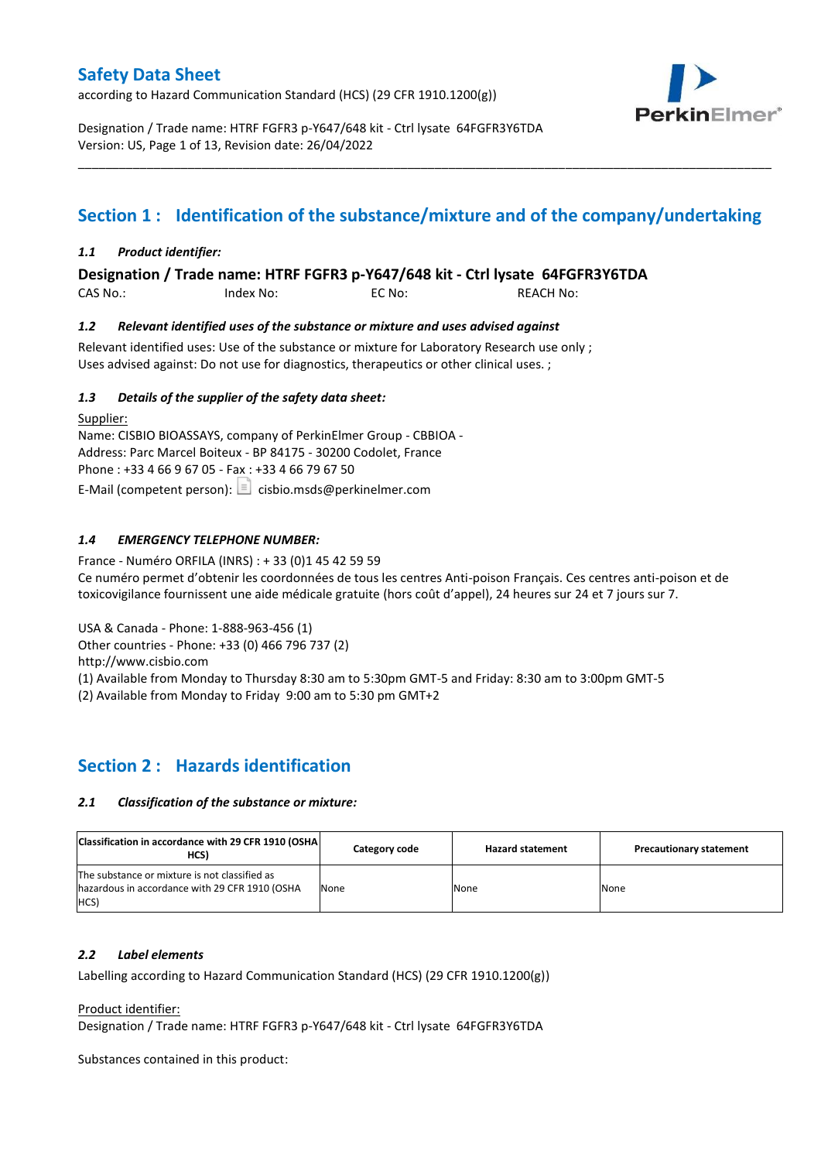according to Hazard Communication Standard (HCS) (29 CFR 1910.1200(g))



Designation / Trade name: HTRF FGFR3 p-Y647/648 kit - Ctrl lysate 64FGFR3Y6TDA Version: US, Page 1 of 13, Revision date: 26/04/2022

# **Section 1 : Identification of the substance/mixture and of the company/undertaking**

\_\_\_\_\_\_\_\_\_\_\_\_\_\_\_\_\_\_\_\_\_\_\_\_\_\_\_\_\_\_\_\_\_\_\_\_\_\_\_\_\_\_\_\_\_\_\_\_\_\_\_\_\_\_\_\_\_\_\_\_\_\_\_\_\_\_\_\_\_\_\_\_\_\_\_\_\_\_\_\_\_\_\_\_\_\_\_\_\_\_\_\_\_\_\_\_\_\_\_\_\_

### *1.1 Product identifier:*

**Designation / Trade name: HTRF FGFR3 p-Y647/648 kit - Ctrl lysate 64FGFR3Y6TDA** 

| CAS No.: | Index No: | EC No: | <b>REACH No:</b> |
|----------|-----------|--------|------------------|
|          |           |        |                  |

### *1.2 Relevant identified uses of the substance or mixture and uses advised against*

Relevant identified uses: Use of the substance or mixture for Laboratory Research use only ; Uses advised against: Do not use for diagnostics, therapeutics or other clinical uses. ;

### *1.3 Details of the supplier of the safety data sheet:*

Supplier: Name: CISBIO BIOASSAYS, company of PerkinElmer Group - CBBIOA - Address: Parc Marcel Boiteux - BP 84175 - 30200 Codolet, France Phone : +33 4 66 9 67 05 - Fax : +33 4 66 79 67 50 E-Mail (competent person):  $\Box$  cisbio.msds@perkinelmer.com

## *1.4 EMERGENCY TELEPHONE NUMBER:*

France - Numéro ORFILA (INRS) : + 33 (0)1 45 42 59 59 Ce numéro permet d'obtenir les coordonnées de tous les centres Anti-poison Français. Ces centres anti-poison et de toxicovigilance fournissent une aide médicale gratuite (hors coût d'appel), 24 heures sur 24 et 7 jours sur 7.

USA & Canada - Phone: 1-888-963-456 (1)

Other countries - Phone: +33 (0) 466 796 737 (2)

http://www.cisbio.com

(1) Available from Monday to Thursday 8:30 am to 5:30pm GMT-5 and Friday: 8:30 am to 3:00pm GMT-5

(2) Available from Monday to Friday 9:00 am to 5:30 pm GMT+2

# **Section 2 : Hazards identification**

### *2.1 Classification of the substance or mixture:*

| Classification in accordance with 29 CFR 1910 (OSHA)<br>HCS)                                            | Category code | <b>Hazard statement</b> | <b>Precautionary statement</b> |
|---------------------------------------------------------------------------------------------------------|---------------|-------------------------|--------------------------------|
| The substance or mixture is not classified as<br>hazardous in accordance with 29 CFR 1910 (OSHA<br>HCS) | None          | None                    | None                           |

### *2.2 Label elements*

Labelling according to Hazard Communication Standard (HCS) (29 CFR 1910.1200(g))

Product identifier:

Designation / Trade name: HTRF FGFR3 p-Y647/648 kit - Ctrl lysate 64FGFR3Y6TDA

Substances contained in this product: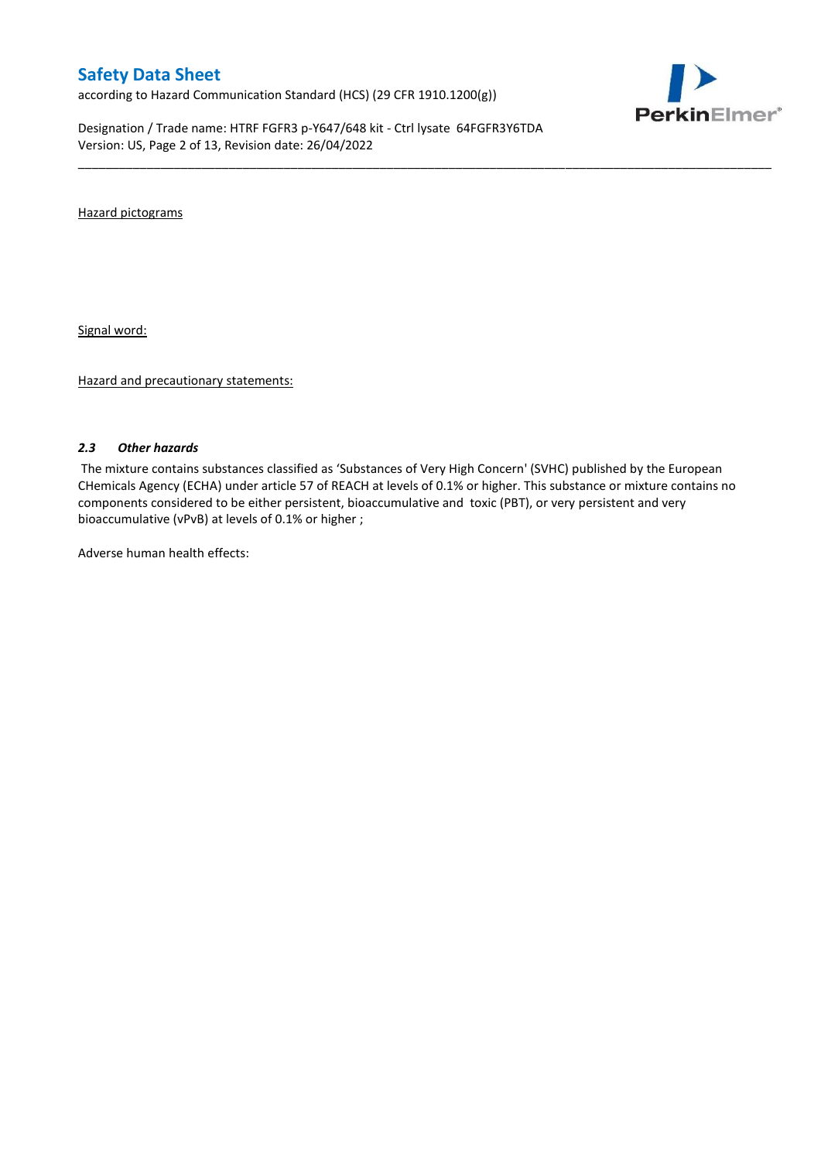according to Hazard Communication Standard (HCS) (29 CFR 1910.1200(g))

Designation / Trade name: HTRF FGFR3 p-Y647/648 kit - Ctrl lysate 64FGFR3Y6TDA Version: US, Page 2 of 13, Revision date: 26/04/2022



Hazard pictograms

Signal word:

Hazard and precautionary statements:

### *2.3 Other hazards*

The mixture contains substances classified as 'Substances of Very High Concern' (SVHC) published by the European CHemicals Agency (ECHA) under article 57 of REACH at levels of 0.1% or higher. This substance or mixture contains no components considered to be either persistent, bioaccumulative and toxic (PBT), or very persistent and very bioaccumulative (vPvB) at levels of 0.1% or higher ;

\_\_\_\_\_\_\_\_\_\_\_\_\_\_\_\_\_\_\_\_\_\_\_\_\_\_\_\_\_\_\_\_\_\_\_\_\_\_\_\_\_\_\_\_\_\_\_\_\_\_\_\_\_\_\_\_\_\_\_\_\_\_\_\_\_\_\_\_\_\_\_\_\_\_\_\_\_\_\_\_\_\_\_\_\_\_\_\_\_\_\_\_\_\_\_\_\_\_\_\_\_

Adverse human health effects: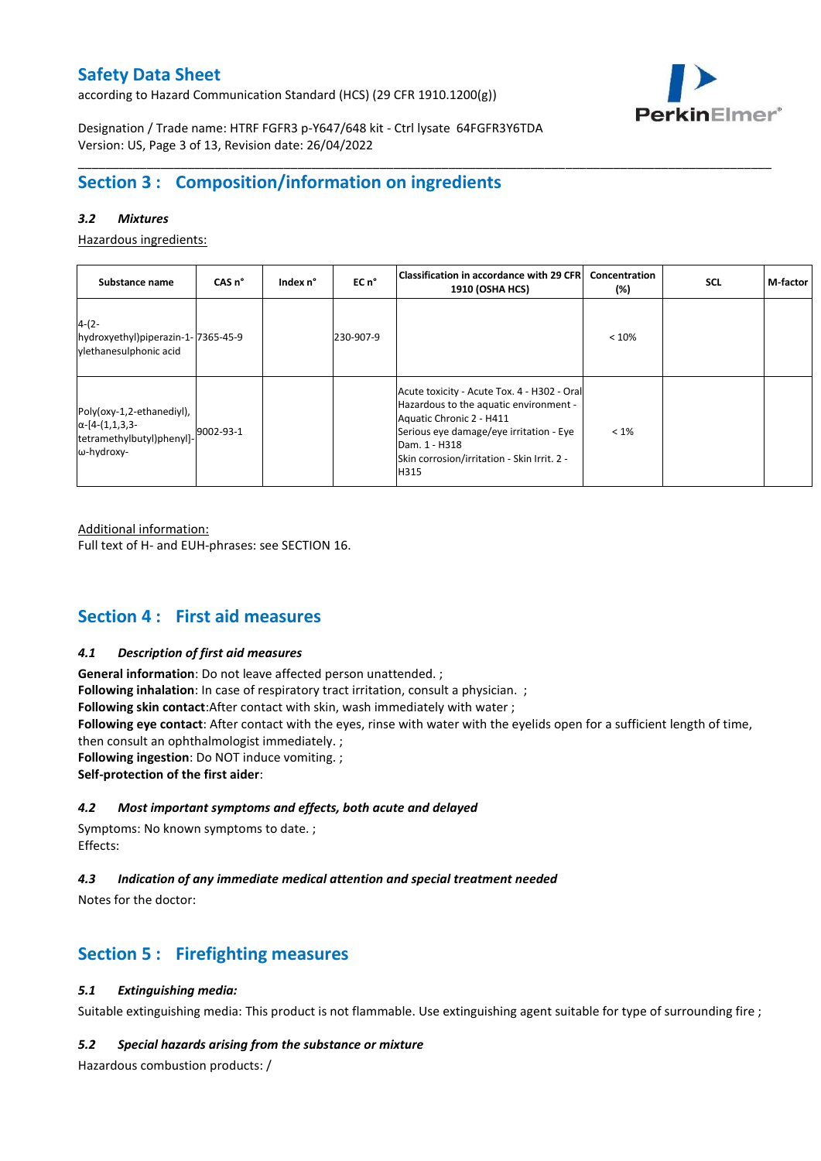according to Hazard Communication Standard (HCS) (29 CFR 1910.1200(g))



Designation / Trade name: HTRF FGFR3 p-Y647/648 kit - Ctrl lysate 64FGFR3Y6TDA Version: US, Page 3 of 13, Revision date: 26/04/2022

# **Section 3 : Composition/information on ingredients**

## *3.2 Mixtures*

Hazardous ingredients:

| Substance name                                                                                 | CAS <sub>n</sub> ° | Index n° | $ECn$ °   | Classification in accordance with 29 CFR <br>1910 (OSHA HCS)                                                                                                                                                                         | Concentration<br>(%) | <b>SCL</b> | M-factor |
|------------------------------------------------------------------------------------------------|--------------------|----------|-----------|--------------------------------------------------------------------------------------------------------------------------------------------------------------------------------------------------------------------------------------|----------------------|------------|----------|
| $4-(2-$<br>hydroxyethyl)piperazin-1-7365-45-9<br>vlethanesulphonic acid                        |                    |          | 230-907-9 |                                                                                                                                                                                                                                      | < 10%                |            |          |
| Poly(oxy-1,2-ethanediyl),<br>$\alpha$ -[4-(1,1,3,3-<br>tetramethylbutyl)phenyl]-<br>ω-hydroxy- | 9002-93-1          |          |           | Acute toxicity - Acute Tox. 4 - H302 - Oral<br>Hazardous to the aquatic environment -<br>Aquatic Chronic 2 - H411<br>Serious eye damage/eye irritation - Eye<br>Dam. 1 - H318<br>Skin corrosion/irritation - Skin Irrit. 2 -<br>H315 | $< 1\%$              |            |          |

\_\_\_\_\_\_\_\_\_\_\_\_\_\_\_\_\_\_\_\_\_\_\_\_\_\_\_\_\_\_\_\_\_\_\_\_\_\_\_\_\_\_\_\_\_\_\_\_\_\_\_\_\_\_\_\_\_\_\_\_\_\_\_\_\_\_\_\_\_\_\_\_\_\_\_\_\_\_\_\_\_\_\_\_\_\_\_\_\_\_\_\_\_\_\_\_\_\_\_\_\_

Additional information:

Full text of H- and EUH-phrases: see SECTION 16.

# **Section 4 : First aid measures**

### *4.1 Description of first aid measures*

**General information**: Do not leave affected person unattended. ; **Following inhalation**: In case of respiratory tract irritation, consult a physician. ; **Following skin contact**:After contact with skin, wash immediately with water ; **Following eye contact**: After contact with the eyes, rinse with water with the eyelids open for a sufficient length of time, then consult an ophthalmologist immediately. ; **Following ingestion**: Do NOT induce vomiting. ; **Self-protection of the first aider**:

## *4.2 Most important symptoms and effects, both acute and delayed*

Symptoms: No known symptoms to date. ; Effects:

## *4.3 Indication of any immediate medical attention and special treatment needed*

Notes for the doctor:

# **Section 5 : Firefighting measures**

## *5.1 Extinguishing media:*

Suitable extinguishing media: This product is not flammable. Use extinguishing agent suitable for type of surrounding fire ;

### *5.2 Special hazards arising from the substance or mixture*

Hazardous combustion products: /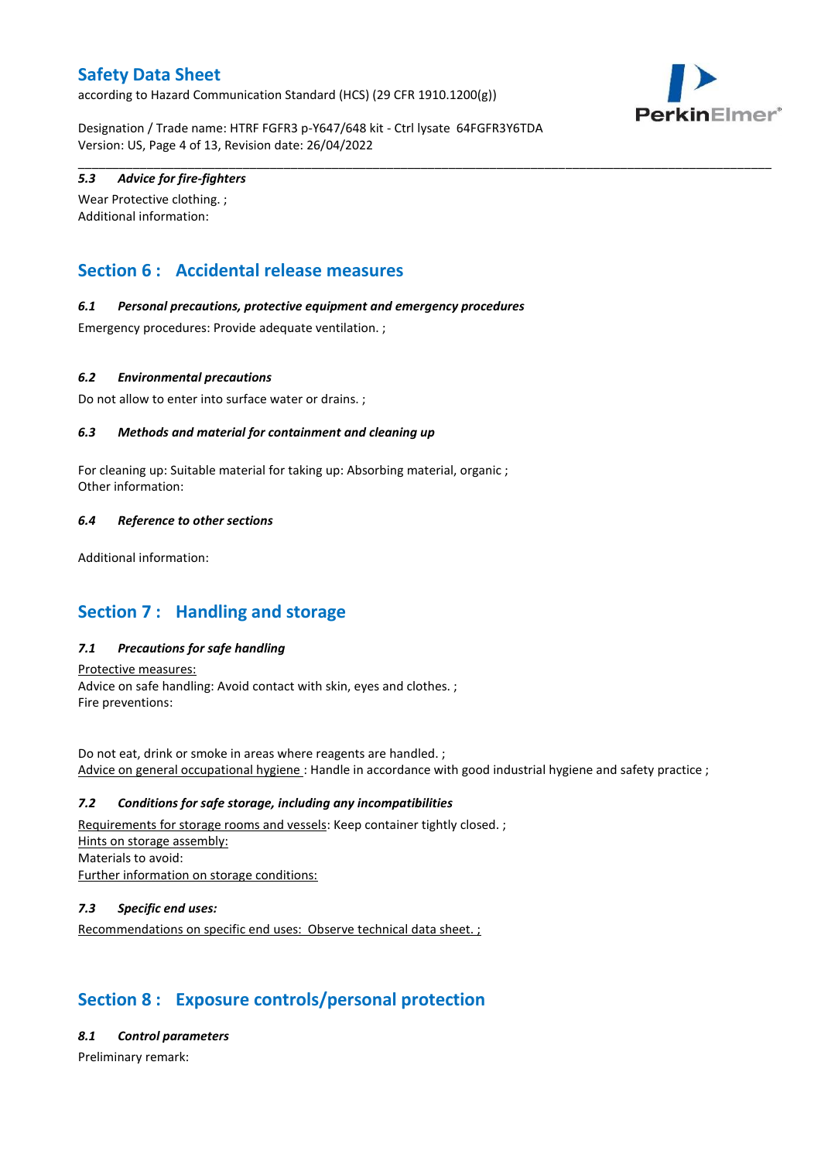according to Hazard Communication Standard (HCS) (29 CFR 1910.1200(g))



Designation / Trade name: HTRF FGFR3 p-Y647/648 kit - Ctrl lysate 64FGFR3Y6TDA Version: US, Page 4 of 13, Revision date: 26/04/2022

\_\_\_\_\_\_\_\_\_\_\_\_\_\_\_\_\_\_\_\_\_\_\_\_\_\_\_\_\_\_\_\_\_\_\_\_\_\_\_\_\_\_\_\_\_\_\_\_\_\_\_\_\_\_\_\_\_\_\_\_\_\_\_\_\_\_\_\_\_\_\_\_\_\_\_\_\_\_\_\_\_\_\_\_\_\_\_\_\_\_\_\_\_\_\_\_\_\_\_\_\_

# *5.3 Advice for fire-fighters*

Wear Protective clothing. ; Additional information:

# **Section 6 : Accidental release measures**

## *6.1 Personal precautions, protective equipment and emergency procedures*

Emergency procedures: Provide adequate ventilation. ;

### *6.2 Environmental precautions*

Do not allow to enter into surface water or drains. ;

### *6.3 Methods and material for containment and cleaning up*

For cleaning up: Suitable material for taking up: Absorbing material, organic ; Other information:

### *6.4 Reference to other sections*

Additional information:

# **Section 7 : Handling and storage**

## *7.1 Precautions for safe handling*

Protective measures: Advice on safe handling: Avoid contact with skin, eyes and clothes. ; Fire preventions:

Do not eat, drink or smoke in areas where reagents are handled. ; Advice on general occupational hygiene : Handle in accordance with good industrial hygiene and safety practice ;

### *7.2 Conditions for safe storage, including any incompatibilities*

Requirements for storage rooms and vessels: Keep container tightly closed. ; Hints on storage assembly: Materials to avoid: Further information on storage conditions:

## *7.3 Specific end uses:*

Recommendations on specific end uses: Observe technical data sheet. ;

# **Section 8 : Exposure controls/personal protection**

### *8.1 Control parameters*

Preliminary remark: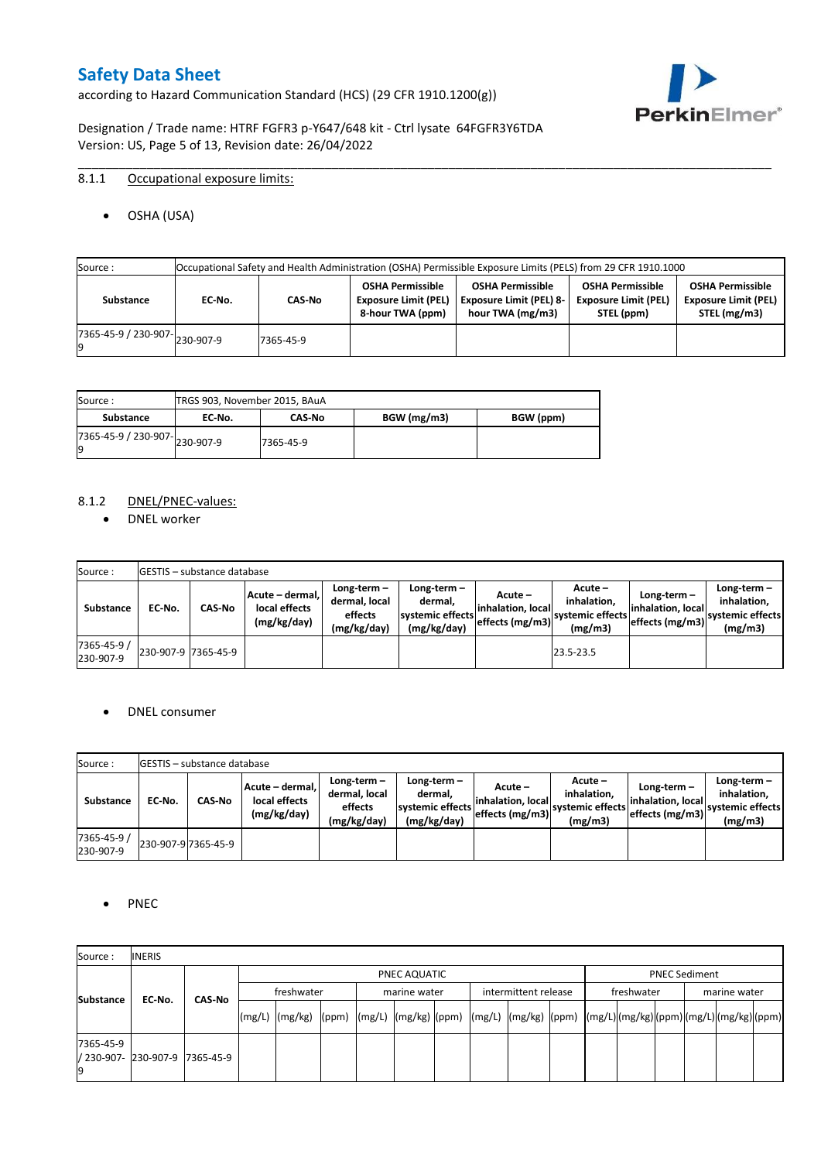according to Hazard Communication Standard (HCS) (29 CFR 1910.1200(g))



Designation / Trade name: HTRF FGFR3 p-Y647/648 kit - Ctrl lysate 64FGFR3Y6TDA Version: US, Page 5 of 13, Revision date: 26/04/2022

# 8.1.1 Occupational exposure limits:

OSHA (USA)

| Source : | Occupational Safety and Health Administration (OSHA) Permissible Exposure Limits (PELS) from 29 CFR 1910.1000 |                                      |           |                                                                            |                                                                               |                                                                      |                                                                        |  |  |  |
|----------|---------------------------------------------------------------------------------------------------------------|--------------------------------------|-----------|----------------------------------------------------------------------------|-------------------------------------------------------------------------------|----------------------------------------------------------------------|------------------------------------------------------------------------|--|--|--|
|          | Substance                                                                                                     | EC No.                               | CAS-No    | <b>OSHA Permissible</b><br><b>Exposure Limit (PEL)</b><br>8-hour TWA (ppm) | <b>OSHA Permissible</b><br><b>Exposure Limit (PEL) 8-</b><br>hour TWA (mg/m3) | <b>OSHA Permissible</b><br><b>Exposure Limit (PEL)</b><br>STEL (ppm) | <b>OSHA Permissible</b><br><b>Exposure Limit (PEL)</b><br>STEL (mg/m3) |  |  |  |
|          |                                                                                                               | $(7365-45-9) / 230-907$ $ 230-907-9$ | 7365-45-9 |                                                                            |                                                                               |                                                                      |                                                                        |  |  |  |

\_\_\_\_\_\_\_\_\_\_\_\_\_\_\_\_\_\_\_\_\_\_\_\_\_\_\_\_\_\_\_\_\_\_\_\_\_\_\_\_\_\_\_\_\_\_\_\_\_\_\_\_\_\_\_\_\_\_\_\_\_\_\_\_\_\_\_\_\_\_\_\_\_\_\_\_\_\_\_\_\_\_\_\_\_\_\_\_\_\_\_\_\_\_\_\_\_\_\_\_\_

| Source :                       | TRGS 903, November 2015, BAuA |               |             |           |
|--------------------------------|-------------------------------|---------------|-------------|-----------|
| Substance                      | EC No.                        | <b>CAS-No</b> | BGW (mg/m3) | BGW (ppm) |
| ./365-45-9 / 230-907-230-907-9 |                               | 7365-45-9     |             |           |

### 8.1.2 DNEL/PNEC-values:

• DNEL worker

| Source:                  |                     | <b>IGESTIS - substance database</b> |                                                 |                                                          |                                                           |                                                    |                                                       |                                                        |                                                             |
|--------------------------|---------------------|-------------------------------------|-------------------------------------------------|----------------------------------------------------------|-----------------------------------------------------------|----------------------------------------------------|-------------------------------------------------------|--------------------------------------------------------|-------------------------------------------------------------|
| Substance                | EC No.              | <b>CAS-No</b>                       | Acute – dermal,<br>local effects<br>(mg/kg/day) | Long-term $-$<br>dermal, local<br>effects<br>(mg/kg/day) | Long-term -<br>dermal,<br>systemic effects<br>(mg/kg/day) | $Acute -$<br>linhalation. local<br>effects (mg/m3) | Acute -<br>inhalation.<br>systemic effects<br>(mg/m3) | Long-term $-$<br>linhalation. local<br>effects (mg/m3) | $Long-term -$<br>inhalation.<br>systemic effects<br>(mg/m3) |
| 7365-45-9 /<br>230-907-9 | 230-907-9 7365-45-9 |                                     |                                                 |                                                          |                                                           |                                                    | 23.5-23.5                                             |                                                        |                                                             |

## • DNEL consumer

| Source:                  |        | <b>IGESTIS – substance database</b> |                                                 |                                                          |                                                             |                                                        |                                                       |                                                        |                                                             |
|--------------------------|--------|-------------------------------------|-------------------------------------------------|----------------------------------------------------------|-------------------------------------------------------------|--------------------------------------------------------|-------------------------------------------------------|--------------------------------------------------------|-------------------------------------------------------------|
| Substance                | EC No. | CAS-No                              | Acute - dermal,<br>local effects<br>(mg/kg/day) | Long-term $-$<br>dermal, local<br>effects<br>(mg/kg/day) | $Long-term -$<br>dermal.<br>systemic effects<br>(mg/kg/day) | Acute –<br>linhalation. local<br>$effects$ (mg/m3) $ $ | Acute -<br>inhalation.<br>systemic effects<br>(mg/m3) | $Long-term -$<br>linhalation. local<br>effects (mg/m3) | Long-term $-$<br>inhalation.<br>systemic effects<br>(mg/m3) |
| 7365-45-9 /<br>230-907-9 |        | 230-907-9 7365-45-9                 |                                                 |                                                          |                                                             |                                                        |                                                       |                                                        |                                                             |

### • PNEC

| Source:                                 | <b>INERIS</b> |               |              |  |  |              |  |  |                      |  |                                                                                                                                                                                                                                                                                                                                                                                                                                                                                                                                                     |  |  |  |
|-----------------------------------------|---------------|---------------|--------------|--|--|--------------|--|--|----------------------|--|-----------------------------------------------------------------------------------------------------------------------------------------------------------------------------------------------------------------------------------------------------------------------------------------------------------------------------------------------------------------------------------------------------------------------------------------------------------------------------------------------------------------------------------------------------|--|--|--|
|                                         |               |               | PNEC AQUATIC |  |  |              |  |  |                      |  |                                                                                                                                                                                                                                                                                                                                                                                                                                                                                                                                                     |  |  |  |
| <b>Substance</b>                        | EC-No.        | <b>CAS No</b> | freshwater   |  |  | marine water |  |  | intermittent release |  | <b>PNEC Sediment</b><br>freshwater<br>marine water<br>$\lceil (mg/L) \rceil \cdot (mg/kg) \cdot (ppm) \cdot (mg/L) \cdot (mg/kg) \cdot (ppm) \cdot (mg/L) \cdot (mg/kg) \cdot (ppm) \cdot (mg/L) \cdot (mg/L) \cdot (mg/L) \cdot (mg/L) \cdot (mg/L) \cdot (mg/L) \cdot (mg/L) \cdot (mg/L) \cdot (mg/L) \cdot (mg/L) \cdot (mg/L) \cdot (mg/L) \cdot (mg/L) \cdot (mg/L) \cdot (mg/L) \cdot (mg/L) \cdot (gm/L) \cdot (gm/L) \cdot (gm/L) \cdot (mg/L) \cdot (mg/L) \cdot (gm/L) \cdot (gm/L) \cdot (gm/L) \cdot (gm/L) \cdot (gm/L) \cdot (gm/L)$ |  |  |  |
|                                         |               |               |              |  |  |              |  |  |                      |  |                                                                                                                                                                                                                                                                                                                                                                                                                                                                                                                                                     |  |  |  |
| 7365-45-9<br>/ 230-907- 230-907-9<br>19 |               | 7365-45-9     |              |  |  |              |  |  |                      |  |                                                                                                                                                                                                                                                                                                                                                                                                                                                                                                                                                     |  |  |  |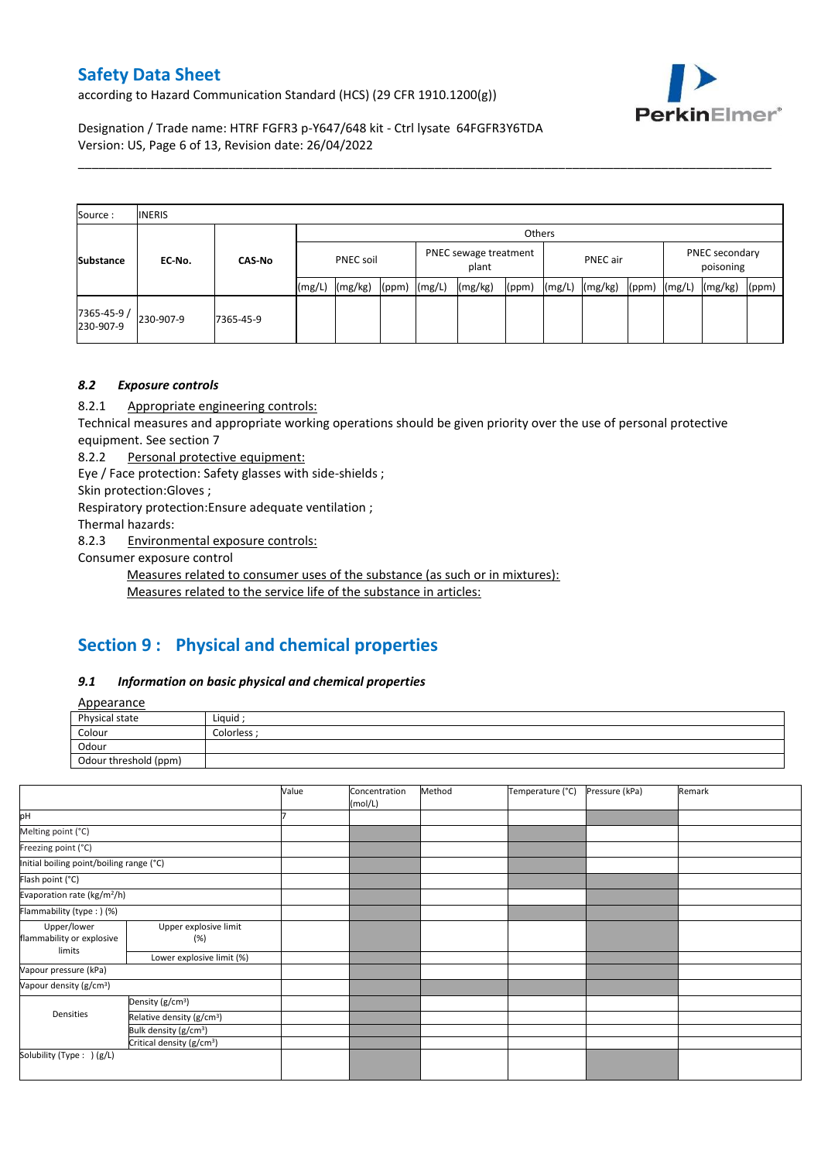according to Hazard Communication Standard (HCS) (29 CFR 1910.1200(g))



Designation / Trade name: HTRF FGFR3 p-Y647/648 kit - Ctrl lysate 64FGFR3Y6TDA Version: US, Page 6 of 13, Revision date: 26/04/2022

| Source:                  | <b>INERIS</b> |               |       |                                    |       |        |         |       |        |          |       |                                                           |  |  |
|--------------------------|---------------|---------------|-------|------------------------------------|-------|--------|---------|-------|--------|----------|-------|-----------------------------------------------------------|--|--|
|                          |               |               |       | Others                             |       |        |         |       |        |          |       |                                                           |  |  |
| <b>Substance</b>         | EC-No.        | <b>CAS-No</b> |       | PNEC sewage treatment<br>PNEC soil |       |        | plant   |       |        | PNEC air |       | PNEC secondary<br>poisoning<br>(mg/L)<br>(mg/kg)<br>(ppm) |  |  |
|                          |               |               | (mg/L | (mg/kg)                            | (ppm) | (mg/L) | (mg/kg) | (ppm) | (mg/L) | (mg/kg)  | (ppm) |                                                           |  |  |
| 7365-45-9 /<br>230-907-9 | 230-907-9     | 7365-45-9     |       |                                    |       |        |         |       |        |          |       |                                                           |  |  |

\_\_\_\_\_\_\_\_\_\_\_\_\_\_\_\_\_\_\_\_\_\_\_\_\_\_\_\_\_\_\_\_\_\_\_\_\_\_\_\_\_\_\_\_\_\_\_\_\_\_\_\_\_\_\_\_\_\_\_\_\_\_\_\_\_\_\_\_\_\_\_\_\_\_\_\_\_\_\_\_\_\_\_\_\_\_\_\_\_\_\_\_\_\_\_\_\_\_\_\_\_

# *8.2 Exposure controls*

8.2.1 Appropriate engineering controls:

Technical measures and appropriate working operations should be given priority over the use of personal protective equipment. See section 7

8.2.2 Personal protective equipment:

Eye / Face protection: Safety glasses with side-shields ;

Skin protection:Gloves ;

Respiratory protection:Ensure adequate ventilation ;

Thermal hazards:

8.2.3 Environmental exposure controls:

Consumer exposure control

Measures related to consumer uses of the substance (as such or in mixtures):

Measures related to the service life of the substance in articles:

# **Section 9 : Physical and chemical properties**

### *9.1 Information on basic physical and chemical properties*

**Annearance** 

| n                     |                  |
|-----------------------|------------------|
| Physical state        | Liquid           |
| Colour                | <b>Colorless</b> |
| Odour                 |                  |
| Odour threshold (ppm) |                  |

|                                          |                                       | Value | Concentration<br>(mol/L) | Method | Temperature (°C) | Pressure (kPa) | Remark |
|------------------------------------------|---------------------------------------|-------|--------------------------|--------|------------------|----------------|--------|
| pH                                       |                                       |       |                          |        |                  |                |        |
| Melting point (°C)                       |                                       |       |                          |        |                  |                |        |
| Freezing point (°C)                      |                                       |       |                          |        |                  |                |        |
| Initial boiling point/boiling range (°C) |                                       |       |                          |        |                  |                |        |
| Flash point (°C)                         |                                       |       |                          |        |                  |                |        |
| Evaporation rate (kg/m <sup>2</sup> /h)  |                                       |       |                          |        |                  |                |        |
| Flammability (type:) (%)                 |                                       |       |                          |        |                  |                |        |
| Upper/lower<br>flammability or explosive | Upper explosive limit<br>(%)          |       |                          |        |                  |                |        |
| limits                                   | Lower explosive limit (%)             |       |                          |        |                  |                |        |
| Vapour pressure (kPa)                    |                                       |       |                          |        |                  |                |        |
| Vapour density (g/cm <sup>3</sup> )      |                                       |       |                          |        |                  |                |        |
|                                          | Density (g/cm <sup>3</sup> )          |       |                          |        |                  |                |        |
| Densities                                | Relative density (g/cm <sup>3</sup> ) |       |                          |        |                  |                |        |
|                                          | Bulk density (g/cm <sup>3</sup> )     |       |                          |        |                  |                |        |
|                                          | Critical density (g/cm <sup>3</sup> ) |       |                          |        |                  |                |        |
| Solubility (Type: ) (g/L)                |                                       |       |                          |        |                  |                |        |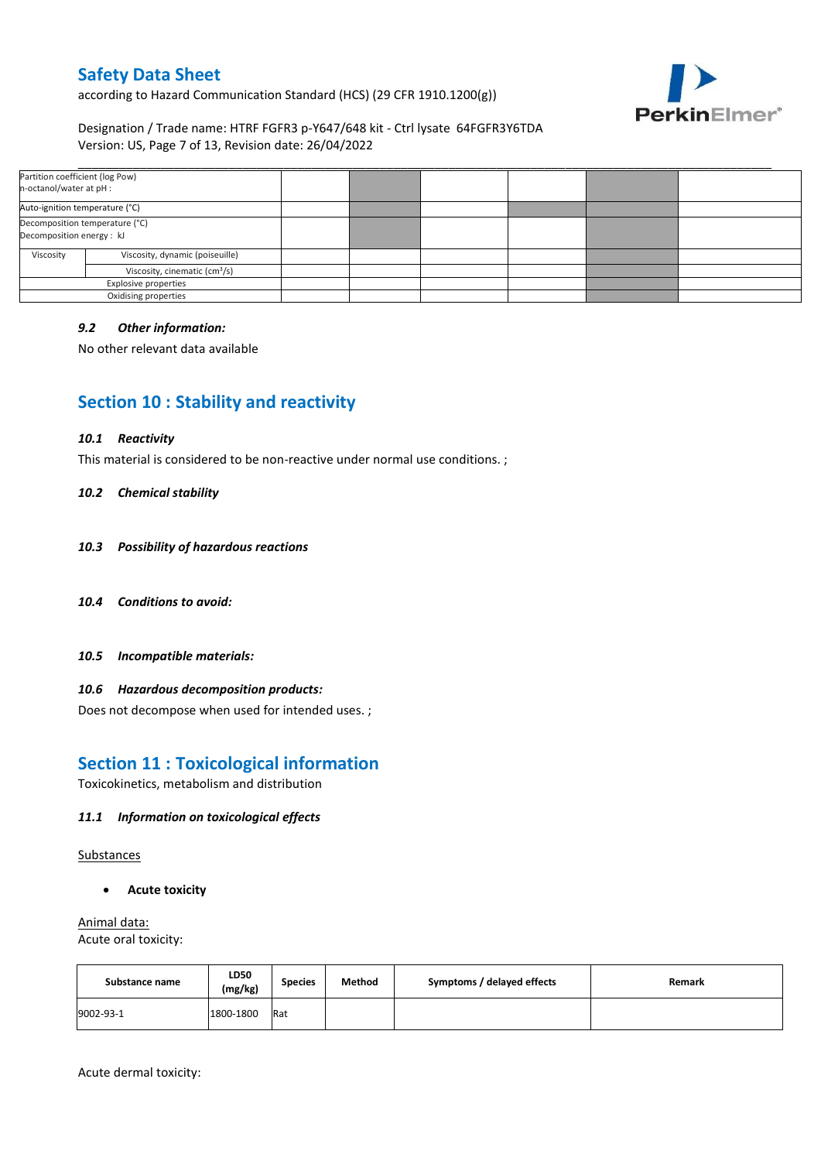according to Hazard Communication Standard (HCS) (29 CFR 1910.1200(g))



# Designation / Trade name: HTRF FGFR3 p-Y647/648 kit - Ctrl lysate 64FGFR3Y6TDA Version: US, Page 7 of 13, Revision date: 26/04/2022

| Partition coefficient (log Pow)<br>n-octanol/water at pH : |                                 |  |  |  |
|------------------------------------------------------------|---------------------------------|--|--|--|
| Auto-ignition temperature (°C)                             |                                 |  |  |  |
| Decomposition energy : kJ                                  | Decomposition temperature (°C)  |  |  |  |
| Viscosity                                                  | Viscosity, dynamic (poiseuille) |  |  |  |
| Viscosity, cinematic (cm <sup>3</sup> /s)                  |                                 |  |  |  |
| Explosive properties                                       |                                 |  |  |  |
|                                                            | Oxidising properties            |  |  |  |

### *9.2 Other information:*

No other relevant data available

# **Section 10 : Stability and reactivity**

#### *10.1 Reactivity*

This material is considered to be non-reactive under normal use conditions. ;

#### *10.2 Chemical stability*

- *10.3 Possibility of hazardous reactions*
- *10.4 Conditions to avoid:*
- *10.5 Incompatible materials:*

### *10.6 Hazardous decomposition products:*

Does not decompose when used for intended uses. ;

# **Section 11 : Toxicological information**

Toxicokinetics, metabolism and distribution

### *11.1 Information on toxicological effects*

Substances

**Acute toxicity**

Animal data: Acute oral toxicity:

| Substance name | LD50<br>(mg/kg) | <b>Species</b> | Method | Symptoms / delayed effects | Remark |
|----------------|-----------------|----------------|--------|----------------------------|--------|
| 9002-93-1      | 1800-1800       | Rat            |        |                            |        |

Acute dermal toxicity: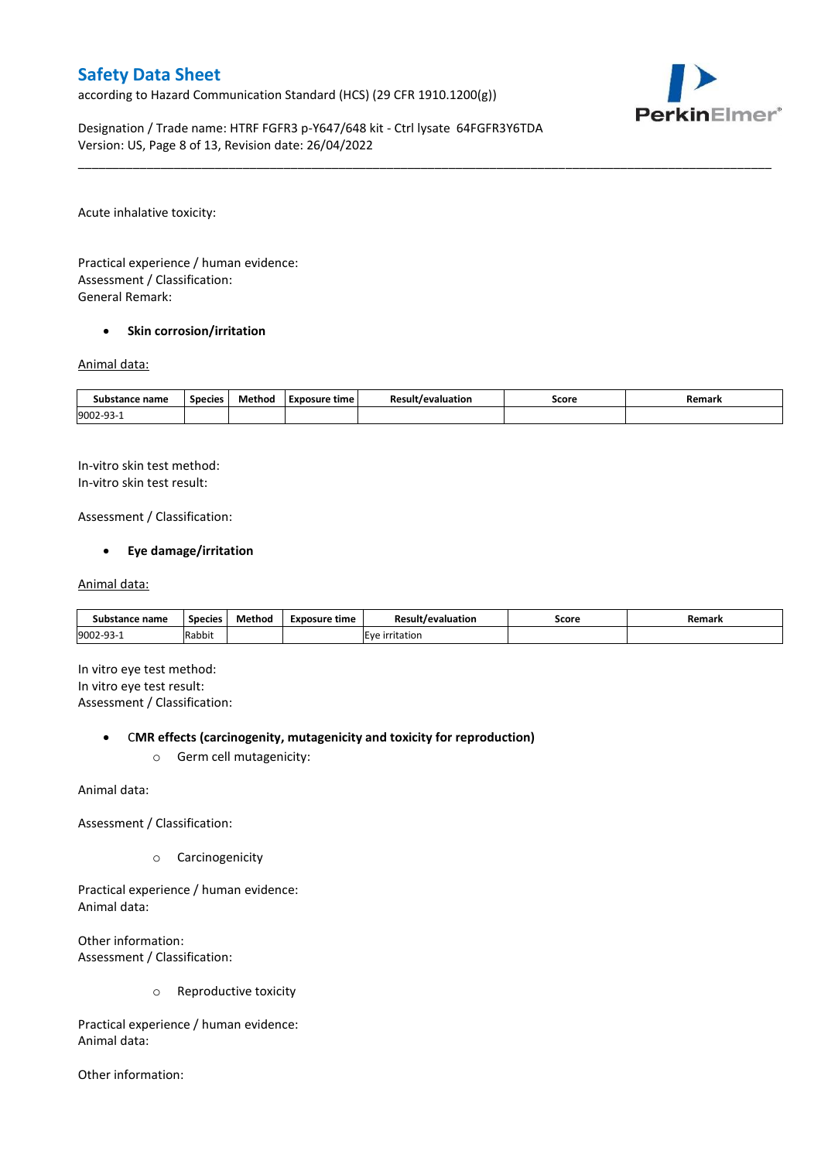according to Hazard Communication Standard (HCS) (29 CFR 1910.1200(g))



Designation / Trade name: HTRF FGFR3 p-Y647/648 kit - Ctrl lysate 64FGFR3Y6TDA Version: US, Page 8 of 13, Revision date: 26/04/2022

Acute inhalative toxicity:

Practical experience / human evidence: Assessment / Classification: General Remark:

### **•** Skin corrosion/irritation

#### Animal data:

| Substance name         | <b>Species</b> | Method | Exposure time | <b>Result/evaluation</b> | Score | Remark |
|------------------------|----------------|--------|---------------|--------------------------|-------|--------|
| 9002-93-<br><u>۔ ت</u> |                |        |               |                          |       |        |

\_\_\_\_\_\_\_\_\_\_\_\_\_\_\_\_\_\_\_\_\_\_\_\_\_\_\_\_\_\_\_\_\_\_\_\_\_\_\_\_\_\_\_\_\_\_\_\_\_\_\_\_\_\_\_\_\_\_\_\_\_\_\_\_\_\_\_\_\_\_\_\_\_\_\_\_\_\_\_\_\_\_\_\_\_\_\_\_\_\_\_\_\_\_\_\_\_\_\_\_\_

In-vitro skin test method: In-vitro skin test result:

Assessment / Classification:

### **Eye damage/irritation**

#### Animal data:

| Substance name   | <b>Species</b> | Method | Exposure time | <b>Result/evaluation</b> | Score | Remark |
|------------------|----------------|--------|---------------|--------------------------|-------|--------|
| 9002-93-<br>⊥−∟ت | Rabbit         |        |               | <b>IEve irritation</b>   |       |        |

In vitro eye test method: In vitro eye test result: Assessment / Classification:

### C**MR effects (carcinogenity, mutagenicity and toxicity for reproduction)**

o Germ cell mutagenicity:

Animal data:

Assessment / Classification:

o Carcinogenicity

Practical experience / human evidence: Animal data:

Other information: Assessment / Classification:

o Reproductive toxicity

Practical experience / human evidence: Animal data:

Other information: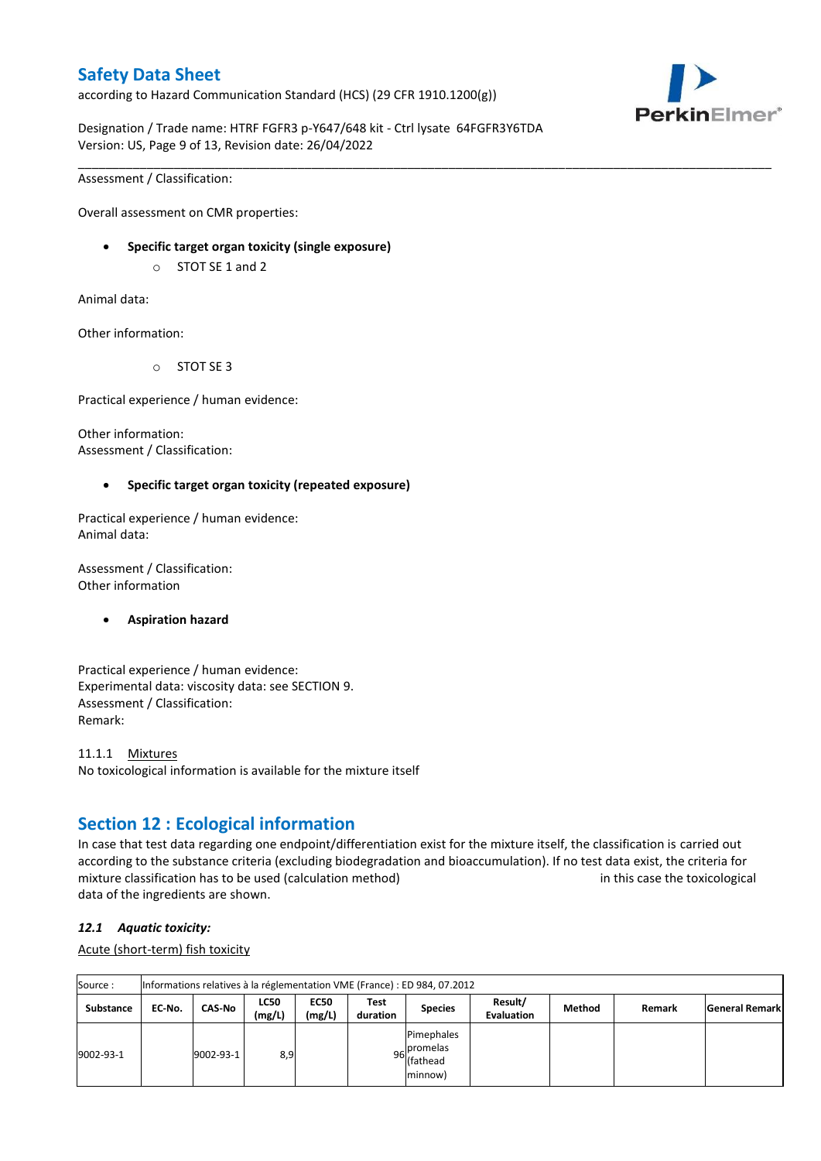according to Hazard Communication Standard (HCS) (29 CFR 1910.1200(g))



Designation / Trade name: HTRF FGFR3 p-Y647/648 kit - Ctrl lysate 64FGFR3Y6TDA Version: US, Page 9 of 13, Revision date: 26/04/2022

\_\_\_\_\_\_\_\_\_\_\_\_\_\_\_\_\_\_\_\_\_\_\_\_\_\_\_\_\_\_\_\_\_\_\_\_\_\_\_\_\_\_\_\_\_\_\_\_\_\_\_\_\_\_\_\_\_\_\_\_\_\_\_\_\_\_\_\_\_\_\_\_\_\_\_\_\_\_\_\_\_\_\_\_\_\_\_\_\_\_\_\_\_\_\_\_\_\_\_\_\_

Assessment / Classification:

Overall assessment on CMR properties:

- **Specific target organ toxicity (single exposure)**
	- o STOT SE 1 and 2

Animal data:

Other information:

o STOT SE 3

Practical experience / human evidence:

Other information: Assessment / Classification:

### **Specific target organ toxicity (repeated exposure)**

Practical experience / human evidence: Animal data:

Assessment / Classification: Other information

### **Aspiration hazard**

Practical experience / human evidence: Experimental data: viscosity data: see SECTION 9. Assessment / Classification: Remark:

11.1.1 Mixtures No toxicological information is available for the mixture itself

# **Section 12 : Ecological information**

In case that test data regarding one endpoint/differentiation exist for the mixture itself, the classification is carried out according to the substance criteria (excluding biodegradation and bioaccumulation). If no test data exist, the criteria for mixture classification has to be used (calculation method) in this case the toxicological data of the ingredients are shown.

### *12.1 Aquatic toxicity:*

Acute (short-term) fish toxicity

| Source:          |        | Informations relatives à la réglementation VME (France) : ED 984, 07.2012 |                       |                       |                  |                                                               |                              |        |        |                       |  |  |  |
|------------------|--------|---------------------------------------------------------------------------|-----------------------|-----------------------|------------------|---------------------------------------------------------------|------------------------------|--------|--------|-----------------------|--|--|--|
| <b>Substance</b> | EC No. | <b>CAS-No</b>                                                             | <b>LC50</b><br>(mg/L) | <b>EC50</b><br>(mg/L) | Test<br>duration | <b>Species</b>                                                | Result/<br><b>Evaluation</b> | Method | Remark | <b>General Remark</b> |  |  |  |
| 9002-93-1        |        | 9002-93-1                                                                 | 8,9                   |                       |                  | Pimephales<br>. Ipromelas<br>96 riving<br>(fathead<br>minnow) |                              |        |        |                       |  |  |  |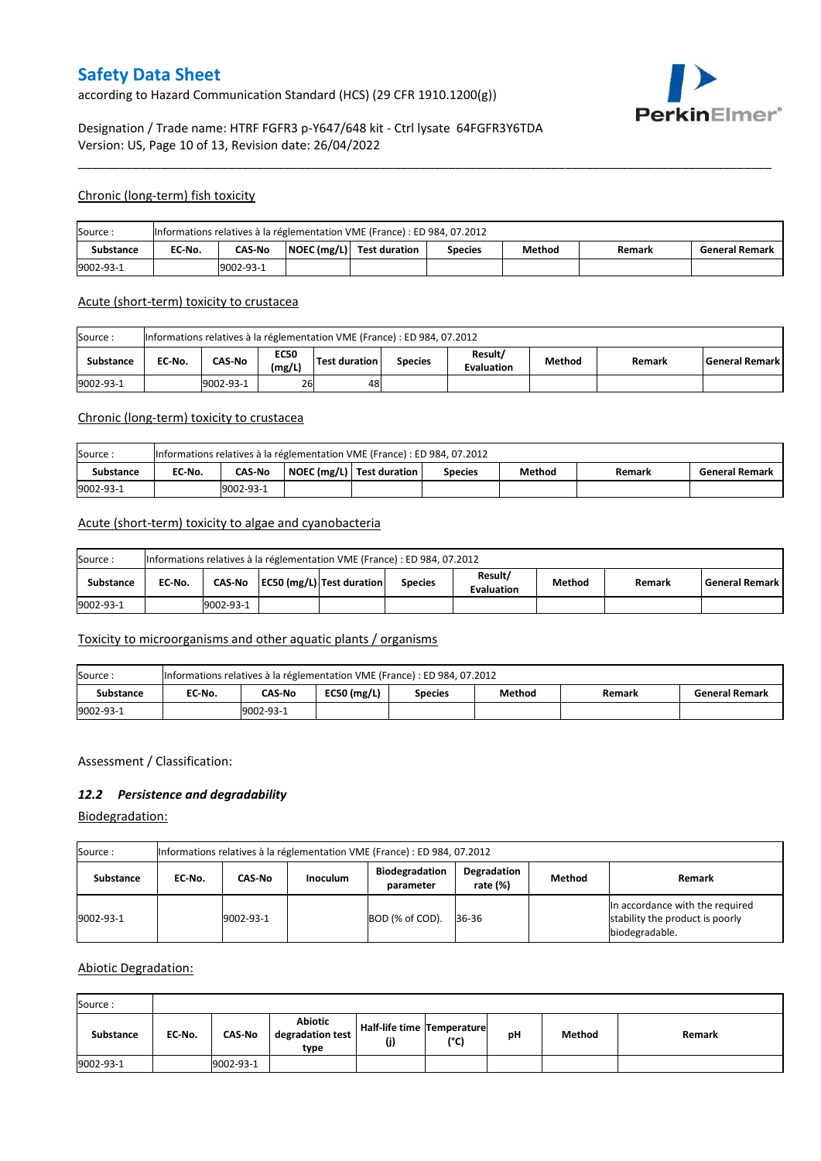according to Hazard Communication Standard (HCS) (29 CFR 1910.1200(g))



# Designation / Trade name: HTRF FGFR3 p-Y647/648 kit - Ctrl lysate 64FGFR3Y6TDA Version: US, Page 10 of 13, Revision date: 26/04/2022

### Chronic (long-term) fish toxicity

| Source:          |           |               |  | Informations relatives à la réglementation VME (France) : ED 984, 07.2012 |         |        |        |                       |  |
|------------------|-----------|---------------|--|---------------------------------------------------------------------------|---------|--------|--------|-----------------------|--|
| <b>Substance</b> | EC No.    | <b>CAS-No</b> |  | $\vert$ NOEC (mg/L) $\vert$ Test duration                                 | Species | Method | Remark | <b>General Remark</b> |  |
| 9002-93-1        | 9002-93-1 |               |  |                                                                           |         |        |        |                       |  |

\_\_\_\_\_\_\_\_\_\_\_\_\_\_\_\_\_\_\_\_\_\_\_\_\_\_\_\_\_\_\_\_\_\_\_\_\_\_\_\_\_\_\_\_\_\_\_\_\_\_\_\_\_\_\_\_\_\_\_\_\_\_\_\_\_\_\_\_\_\_\_\_\_\_\_\_\_\_\_\_\_\_\_\_\_\_\_\_\_\_\_\_\_\_\_\_\_\_\_\_\_

#### Acute (short-term) toxicity to crustacea

| Source:          | Informations relatives à la réglementation VME (France) : ED 984, 07.2012                                                                       |  |  |  |  |  |  |  |  |  |  |
|------------------|-------------------------------------------------------------------------------------------------------------------------------------------------|--|--|--|--|--|--|--|--|--|--|
| <b>Substance</b> | Result/<br><b>EC50</b><br>CAS-No<br>Test duration<br>EC No.<br>Method<br>l General Remark l<br><b>Species</b><br>Remark<br>(mg/L)<br>Evaluation |  |  |  |  |  |  |  |  |  |  |
| 9002-93-1        | 26<br>9002-93-1<br>48                                                                                                                           |  |  |  |  |  |  |  |  |  |  |

### Chronic (long-term) toxicity to crustacea

| Source:          |           |               |  | Informations relatives à la réglementation VME (France) : ED 984, 07.2012 |                |        |        |                       |  |
|------------------|-----------|---------------|--|---------------------------------------------------------------------------|----------------|--------|--------|-----------------------|--|
| <b>Substance</b> | EC No.    | <b>CAS-No</b> |  | NOEC (mg/L) Test duration                                                 | <b>Species</b> | Method | Remark | <b>General Remark</b> |  |
| 9002-93-1        | 9002-93-1 |               |  |                                                                           |                |        |        |                       |  |

### Acute (short-term) toxicity to algae and cyanobacteria

| Source:          | Informations relatives à la réglementation VME (France) : ED 984, 07.2012 |                                                                                                                                  |  |  |  |  |  |  |  |  |  |
|------------------|---------------------------------------------------------------------------|----------------------------------------------------------------------------------------------------------------------------------|--|--|--|--|--|--|--|--|--|
| <b>Substance</b> | EC No.                                                                    | Result/<br>CAS-No   EC50 (mg/L)   Test duration<br>Method<br>l General Remark I<br>Remark<br><b>Species</b><br><b>Evaluation</b> |  |  |  |  |  |  |  |  |  |
| 9002-93-1        |                                                                           | 9002-93-1                                                                                                                        |  |  |  |  |  |  |  |  |  |

## Toxicity to microorganisms and other aquatic plants / organisms

| Source:   |            |        |               | Informations relatives à la réglementation VME (France) : ED 984, 07.2012 |        |        |                       |  |
|-----------|------------|--------|---------------|---------------------------------------------------------------------------|--------|--------|-----------------------|--|
| Substance | EC-No.     | CAS-No | $EC50$ (mg/L) | <b>Species</b>                                                            | Method | Remark | <b>General Remark</b> |  |
| 9002-93-1 | 19002-93-1 |        |               |                                                                           |        |        |                       |  |

### Assessment / Classification:

### *12.2 Persistence and degradability*

Biodegradation:

| Source :         | Informations relatives à la réglementation VME (France) : ED 984, 07.2012 |           |                 |                                    |                         |        |                                                                                      |  |  |  |
|------------------|---------------------------------------------------------------------------|-----------|-----------------|------------------------------------|-------------------------|--------|--------------------------------------------------------------------------------------|--|--|--|
| <b>Substance</b> | EC No.                                                                    | CAS-No    | <b>Inoculum</b> | <b>Biodegradation</b><br>parameter | Degradation<br>rate (%) | Method | Remark                                                                               |  |  |  |
| 9002-93-1        |                                                                           | 9002-93-1 |                 | BOD (% of COD).                    | 36-36                   |        | In accordance with the required<br>stability the product is poorly<br>biodegradable. |  |  |  |

### Abiotic Degradation:

| Source:   |        |               |                                            |                                   |      |    |        |        |
|-----------|--------|---------------|--------------------------------------------|-----------------------------------|------|----|--------|--------|
| Substance | EC-No. | <b>CAS-No</b> | <b>Abiotic</b><br>degradation test<br>type | Half-life time Temperature<br>(j) | (°C) | рH | Method | Remark |
| 9002-93-1 |        | 9002-93-1     |                                            |                                   |      |    |        |        |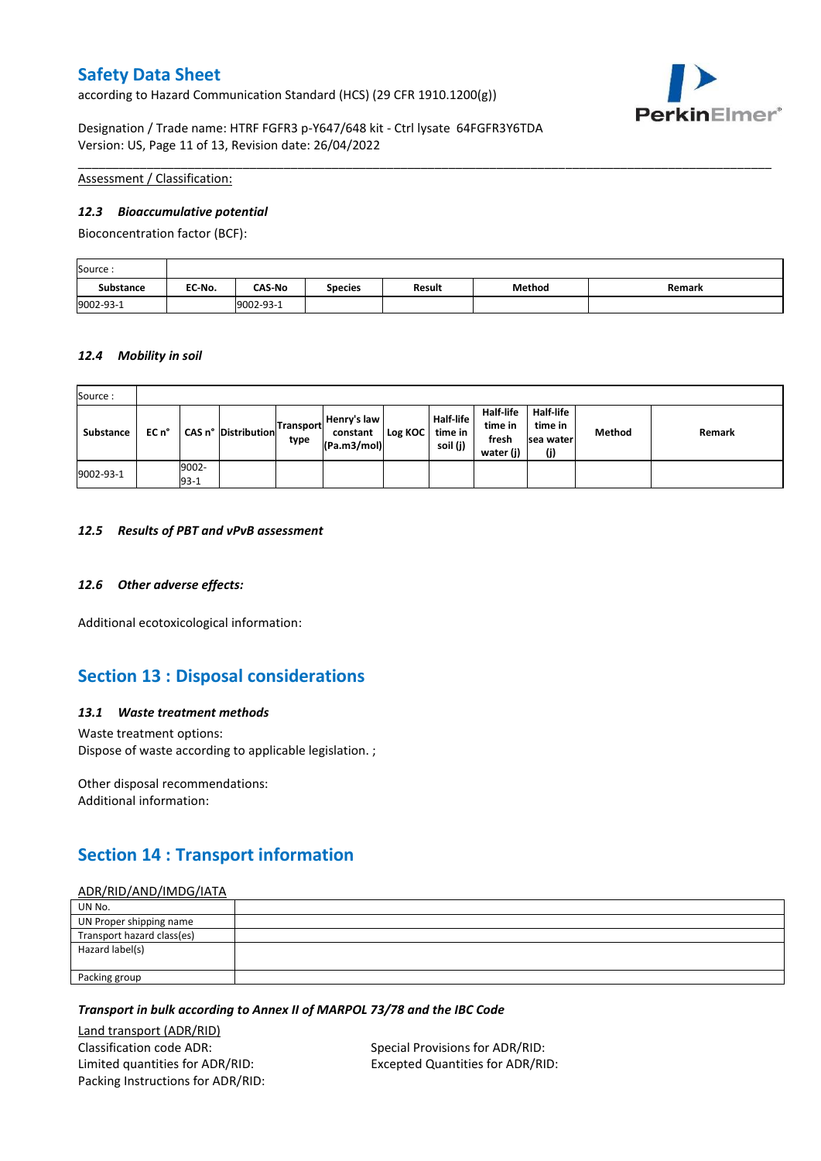according to Hazard Communication Standard (HCS) (29 CFR 1910.1200(g))



Designation / Trade name: HTRF FGFR3 p-Y647/648 kit - Ctrl lysate 64FGFR3Y6TDA Version: US, Page 11 of 13, Revision date: 26/04/2022

Assessment / Classification:

### *12.3 Bioaccumulative potential*

Bioconcentration factor (BCF):

| Source:          |        |               |                |        |        |        |
|------------------|--------|---------------|----------------|--------|--------|--------|
| <b>Substance</b> | EC No. | <b>CAS-No</b> | <b>Species</b> | Result | Method | Remark |
| 9002-93-1        |        | 9002-93-1     |                |        |        |        |

\_\_\_\_\_\_\_\_\_\_\_\_\_\_\_\_\_\_\_\_\_\_\_\_\_\_\_\_\_\_\_\_\_\_\_\_\_\_\_\_\_\_\_\_\_\_\_\_\_\_\_\_\_\_\_\_\_\_\_\_\_\_\_\_\_\_\_\_\_\_\_\_\_\_\_\_\_\_\_\_\_\_\_\_\_\_\_\_\_\_\_\_\_\_\_\_\_\_\_\_\_

### *12.4 Mobility in soil*

| Source:   |       |                 |                     |                   |                                        |         |                                         |                                                   |                                           |        |        |
|-----------|-------|-----------------|---------------------|-------------------|----------------------------------------|---------|-----------------------------------------|---------------------------------------------------|-------------------------------------------|--------|--------|
| Substance | EC n° |                 | CAS n° Distribution | Transport<br>type | Henry's law<br>constant<br>(Pa.m3/mol) | Log KOC | <b>Half-life</b><br>time in<br>soil (j) | <b>Half-life</b><br>time in<br>fresh<br>water (j) | Half-life<br>time in<br>Isea water<br>(j) | Method | Remark |
| 9002-93-1 |       | 9002-<br>$93-1$ |                     |                   |                                        |         |                                         |                                                   |                                           |        |        |

#### *12.5 Results of PBT and vPvB assessment*

### *12.6 Other adverse effects:*

Additional ecotoxicological information:

# **Section 13 : Disposal considerations**

### *13.1 Waste treatment methods*

Waste treatment options: Dispose of waste according to applicable legislation. ;

Other disposal recommendations: Additional information:

# **Section 14 : Transport information**

#### ADR/RID/AND/IMDG/IATA

| UN No.                     |  |
|----------------------------|--|
| UN Proper shipping name    |  |
| Transport hazard class(es) |  |
| Hazard label(s)            |  |
|                            |  |
| Packing group              |  |

### *Transport in bulk according to Annex II of MARPOL 73/78 and the IBC Code*

Land transport (ADR/RID) Classification code ADR: Special Provisions for ADR/RID: Limited quantities for ADR/RID: Excepted Quantities for ADR/RID: Packing Instructions for ADR/RID: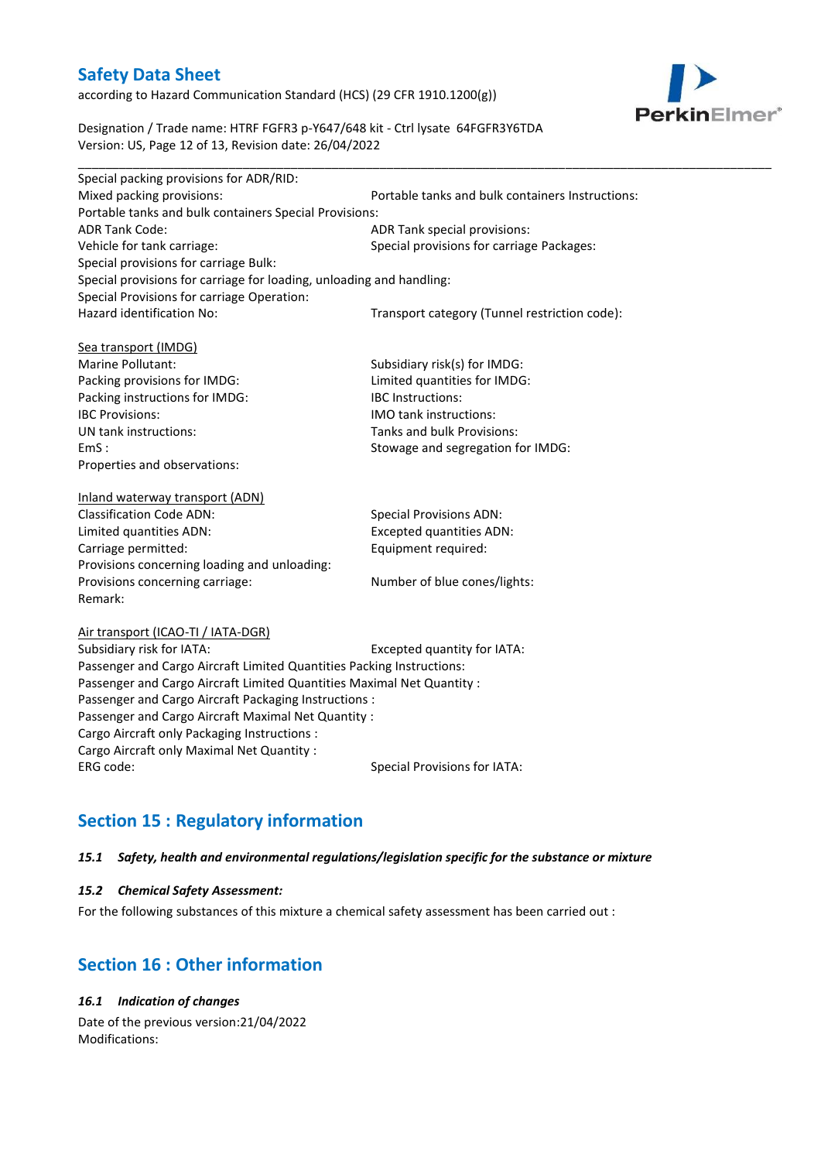according to Hazard Communication Standard (HCS) (29 CFR 1910.1200(g))



Designation / Trade name: HTRF FGFR3 p-Y647/648 kit - Ctrl lysate 64FGFR3Y6TDA Version: US, Page 12 of 13, Revision date: 26/04/2022

| Special packing provisions for ADR/RID:                              |                                                  |  |  |
|----------------------------------------------------------------------|--------------------------------------------------|--|--|
| Mixed packing provisions:                                            | Portable tanks and bulk containers Instructions: |  |  |
| Portable tanks and bulk containers Special Provisions:               |                                                  |  |  |
| <b>ADR Tank Code:</b>                                                | ADR Tank special provisions:                     |  |  |
| Vehicle for tank carriage:                                           | Special provisions for carriage Packages:        |  |  |
| Special provisions for carriage Bulk:                                |                                                  |  |  |
| Special provisions for carriage for loading, unloading and handling: |                                                  |  |  |
| Special Provisions for carriage Operation:                           |                                                  |  |  |
| Hazard identification No:                                            | Transport category (Tunnel restriction code):    |  |  |
| Sea transport (IMDG)                                                 |                                                  |  |  |
| Marine Pollutant:                                                    | Subsidiary risk(s) for IMDG:                     |  |  |
| Packing provisions for IMDG:                                         | Limited quantities for IMDG:                     |  |  |
| Packing instructions for IMDG:                                       | <b>IBC</b> Instructions:                         |  |  |
| <b>IBC Provisions:</b>                                               | <b>IMO</b> tank instructions:                    |  |  |
| UN tank instructions:                                                | Tanks and bulk Provisions:                       |  |  |
| EmS:                                                                 | Stowage and segregation for IMDG:                |  |  |
| Properties and observations:                                         |                                                  |  |  |
| Inland waterway transport (ADN)                                      |                                                  |  |  |
| Classification Code ADNI                                             | Concial Dravisions ADNI.                         |  |  |

| <b>Classification Code ADN:</b>              | <b>Special Provisions ADN:</b>  |
|----------------------------------------------|---------------------------------|
| Limited quantities ADN:                      | <b>Excepted quantities ADN:</b> |
| Carriage permitted:                          | Equipment required:             |
| Provisions concerning loading and unloading: |                                 |
| Provisions concerning carriage:              | Number of blue cones/lights:    |
| Remark:                                      |                                 |

#### Air transport (ICAO-TI / IATA-DGR)

Subsidiary risk for IATA: Excepted quantity for IATA: Passenger and Cargo Aircraft Limited Quantities Packing Instructions: Passenger and Cargo Aircraft Limited Quantities Maximal Net Quantity : Passenger and Cargo Aircraft Packaging Instructions : Passenger and Cargo Aircraft Maximal Net Quantity : Cargo Aircraft only Packaging Instructions : Cargo Aircraft only Maximal Net Quantity : ERG code: Special Provisions for IATA:

# **Section 15 : Regulatory information**

### *15.1 Safety, health and environmental regulations/legislation specific for the substance or mixture*

### *15.2 Chemical Safety Assessment:*

For the following substances of this mixture a chemical safety assessment has been carried out :

# **Section 16 : Other information**

# *16.1 Indication of changes*

Date of the previous version:21/04/2022 Modifications: